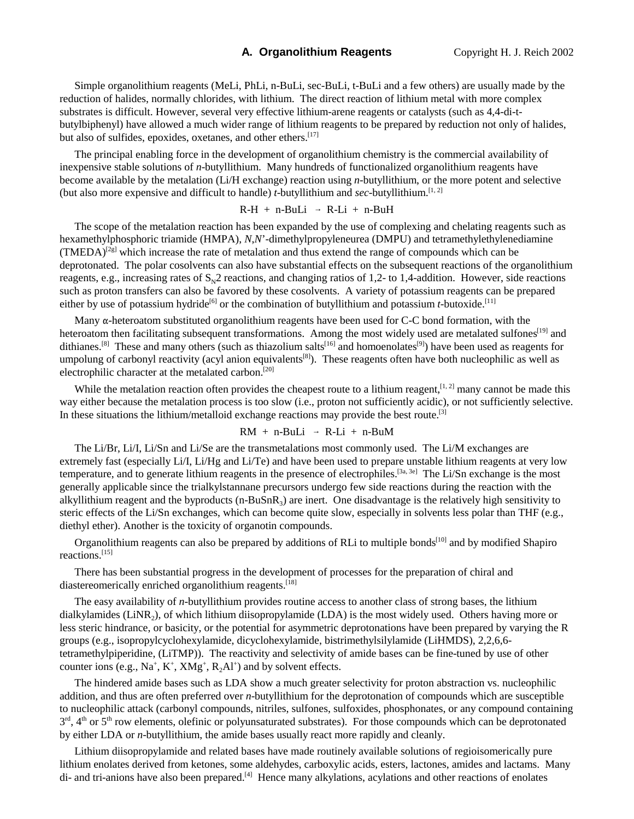# **A. Organolithium Reagents** Copyright H. J. Reich 2002

Simple organolithium reagents (MeLi, PhLi, n-BuLi, sec-BuLi, t-BuLi and a few others) are usually made by the reduction of halides, normally chlorides, with lithium. The direct reaction of lithium metal with more complex substrates is difficult. However, several very effective lithium-arene reagents or catalysts (such as 4,4-di-tbutylbiphenyl) have allowed a much wider range of lithium reagents to be prepared by reduction not only of halides, but also of sulfides, epoxides, oxetanes, and other ethers.<sup>[17]</sup>

The principal enabling force in the development of organolithium chemistry is the commercial availability of inexpensive stable solutions of *n*-butyllithium. Many hundreds of functionalized organolithium reagents have become available by the metalation (Li/H exchange) reaction using *n*-butyllithium, or the more potent and selective (but also more expensive and difficult to handle) *t*-butyllithium and *sec*-butyllithium.[1, 2]

### $R-H + n-BuLi \rightarrow R-Li + n-BuH$

The scope of the metalation reaction has been expanded by the use of complexing and chelating reagents such as hexamethylphosphoric triamide (HMPA), *N*,*N*'-dimethylpropyleneurea (DMPU) and tetramethylethylenediamine  $(TMEDA)^{[2g]}$  which increase the rate of metalation and thus extend the range of compounds which can be deprotonated. The polar cosolvents can also have substantial effects on the subsequent reactions of the organolithium reagents, e.g., increasing rates of  $S_N^2$  reactions, and changing ratios of 1,2- to 1,4-addition. However, side reactions such as proton transfers can also be favored by these cosolvents. A variety of potassium reagents can be prepared either by use of potassium hydride<sup>[6]</sup> or the combination of butyllithium and potassium *t*-butoxide.<sup>[11]</sup>

Many  $\alpha$ -heteroatom substituted organolithium reagents have been used for C-C bond formation, with the heteroatom then facilitating subsequent transformations. Among the most widely used are metalated sulfones<sup>[19]</sup> and dithianes.<sup>[8]</sup> These and many others (such as thiazolium salts<sup>[16]</sup> and homoenolates<sup>[9]</sup>) have been used as reagents for umpolung of carbonyl reactivity (acyl anion equivalents<sup>[8]</sup>). These reagents often have both nucleophilic as well as electrophilic character at the metalated carbon.[20]

While the metalation reaction often provides the cheapest route to a lithium reagent,  $[1, 2]$  many cannot be made this way either because the metalation process is too slow (i.e., proton not sufficiently acidic), or not sufficiently selective. In these situations the lithium/metalloid exchange reactions may provide the best route.<sup>[3]</sup>

## $RM + n-BuLi \rightarrow R-Li + n-BuM$

The Li/Br, Li/I, Li/Sn and Li/Se are the transmetalations most commonly used. The Li/M exchanges are extremely fast (especially Li/I, Li/Hg and Li/Te) and have been used to prepare unstable lithium reagents at very low temperature, and to generate lithium reagents in the presence of electrophiles.<sup>[3a, 3e]</sup> The Li/Sn exchange is the most generally applicable since the trialkylstannane precursors undergo few side reactions during the reaction with the alkyllithium reagent and the byproducts (n-BuSnR<sub>3</sub>) are inert. One disadvantage is the relatively high sensitivity to steric effects of the Li/Sn exchanges, which can become quite slow, especially in solvents less polar than THF (e.g., diethyl ether). Another is the toxicity of organotin compounds.

Organolithium reagents can also be prepared by additions of RLi to multiple bonds[10] and by modified Shapiro reactions.[15]

There has been substantial progress in the development of processes for the preparation of chiral and diastereomerically enriched organolithium reagents.[18]

The easy availability of *n*-butyllithium provides routine access to another class of strong bases, the lithium dialkylamides (LiNR<sub>2</sub>), of which lithium diisopropylamide (LDA) is the most widely used. Others having more or less steric hindrance, or basicity, or the potential for asymmetric deprotonations have been prepared by varying the R groups (e.g., isopropylcyclohexylamide, dicyclohexylamide, bistrimethylsilylamide (LiHMDS), 2,2,6,6 tetramethylpiperidine, (LiTMP)). The reactivity and selectivity of amide bases can be fine-tuned by use of other counter ions (e.g.,  $Na^+$ ,  $K^+$ ,  $XMg^+$ ,  $R_2Al^+$ ) and by solvent effects.

The hindered amide bases such as LDA show a much greater selectivity for proton abstraction vs. nucleophilic addition, and thus are often preferred over *n*-butyllithium for the deprotonation of compounds which are susceptible to nucleophilic attack (carbonyl compounds, nitriles, sulfones, sulfoxides, phosphonates, or any compound containing  $3<sup>rd</sup>$ ,  $4<sup>th</sup>$  or  $5<sup>th</sup>$  row elements, olefinic or polyunsaturated substrates). For those compounds which can be deprotonated by either LDA or *n*-butyllithium, the amide bases usually react more rapidly and cleanly.

Lithium diisopropylamide and related bases have made routinely available solutions of regioisomerically pure lithium enolates derived from ketones, some aldehydes, carboxylic acids, esters, lactones, amides and lactams. Many di- and tri-anions have also been prepared.<sup>[4]</sup> Hence many alkylations, acylations and other reactions of enolates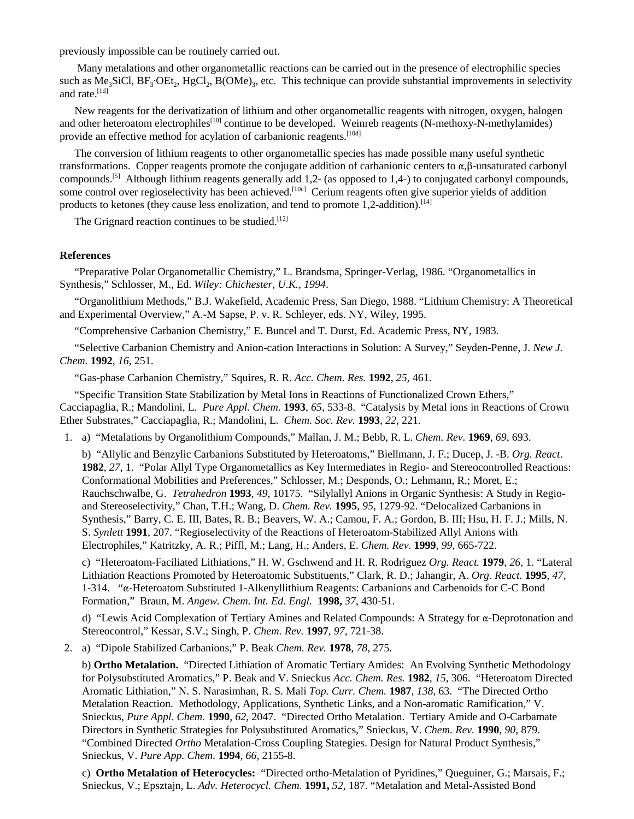previously impossible can be routinely carried out.

 Many metalations and other organometallic reactions can be carried out in the presence of electrophilic species such as Me<sub>3</sub>SiCl, BF<sub>3</sub><sup>-</sup>OEt<sub>2</sub>, HgCl<sub>2</sub>, B(OMe)<sub>3</sub>, etc. This technique can provide substantial improvements in selectivity and rate.<sup>[1d]</sup>

New reagents for the derivatization of lithium and other organometallic reagents with nitrogen, oxygen, halogen and other heteroatom electrophiles<sup>[10]</sup> continue to be developed. Weinreb reagents (N-methoxy-N-methylamides) provide an effective method for acylation of carbanionic reagents.<sup>[10d]</sup>

The conversion of lithium reagents to other organometallic species has made possible many useful synthetic transformations. Copper reagents promote the conjugate addition of carbanionic centers to  $\alpha$ , $\beta$ -unsaturated carbonyl compounds.[5] Although lithium reagents generally add 1,2- (as opposed to 1,4-) to conjugated carbonyl compounds, some control over regioselectivity has been achieved.<sup>[10c]</sup> Cerium reagents often give superior yields of addition products to ketones (they cause less enolization, and tend to promote 1,2-addition).<sup>[14]</sup>

The Grignard reaction continues to be studied.<sup>[12]</sup>

## **References**

"Preparative Polar Organometallic Chemistry," L. Brandsma, Springer-Verlag, 1986. "Organometallics in Synthesis," Schlosser, M., Ed. *Wiley: Chichester, U.K., 1994*.

"Organolithium Methods," B.J. Wakefield, Academic Press, San Diego, 1988. "Lithium Chemistry: A Theoretical and Experimental Overview," A.-M Sapse, P. v. R. Schleyer, eds. NY, Wiley, 1995.

"Comprehensive Carbanion Chemistry," E. Buncel and T. Durst, Ed. Academic Press, NY, 1983.

"Selective Carbanion Chemistry and Anion-cation Interactions in Solution: A Survey," Seyden-Penne, J. *New J. Chem.* **1992**, *16*, 251.

"Gas-phase Carbanion Chemistry," Squires, R. R. *Acc. Chem. Res.* **1992**, *25*, 461.

"Specific Transition State Stabilization by Metal Ions in Reactions of Functionalized Crown Ethers," Cacciapaglia, R.; Mandolini, L. *Pure Appl. Chem.* **1993**, *65*, 533-8. "Catalysis by Metal ions in Reactions of Crown Ether Substrates," Cacciapaglia, R.; Mandolini, L. *Chem. Soc. Rev.* **1993**, *22*, 221.

1. a) "Metalations by Organolithium Compounds," Mallan, J. M.; Bebb, R. L. *Chem. Rev.* **1969**, *69*, 693.

b) "Allylic and Benzylic Carbanions Substituted by Heteroatoms," Biellmann, J. F.; Ducep, J. -B. *Org. React*. **1982**, *27*, 1. "Polar Allyl Type Organometallics as Key Intermediates in Regio- and Stereocontrolled Reactions: Conformational Mobilities and Preferences," Schlosser, M.; Desponds, O.; Lehmann, R.; Moret, E.; Rauchschwalbe, G. *Tetrahedron* **1993**, *49*, 10175. "Silylallyl Anions in Organic Synthesis: A Study in Regioand Stereoselectivity," Chan, T.H.; Wang, D. *Chem. Rev.* **1995**, *95*, 1279-92. "Delocalized Carbanions in Synthesis," Barry, C. E. III, Bates, R. B.; Beavers, W. A.; Camou, F. A.; Gordon, B. III; Hsu, H. F. J.; Mills, N. S. *Synlett* **1991**, 207. "Regioselectivity of the Reactions of Heteroatom-Stabilized Allyl Anions with Electrophiles," Katritzky, A. R.; Piffl, M.; Lang, H.; Anders, E. *Chem. Rev.* **1999**, *99*, 665-722.

c) "Heteroatom-Faciliated Lithiations," H. W. Gschwend and H. R. Rodriguez *Org. React.* **1979**, *26*, 1. "Lateral Lithiation Reactions Promoted by Heteroatomic Substituents," Clark, R. D.; Jahangir, A. *Org. React.* **1995**, *47*, 1-314. "α-Heteroatom Substituted 1-Alkenyllithium Reagents: Carbanions and Carbenoids for C-C Bond Formation," Braun, M. *Angew. Chem. Int. Ed. Engl.* **1998,** *37*, 430-51.

d) "Lewis Acid Complexation of Tertiary Amines and Related Compounds: A Strategy for  $\alpha$ -Deprotonation and Stereocontrol," Kessar, S.V.; Singh, P. *Chem. Rev.* **1997**, *97*, 721-38.

2. a) "Dipole Stabilized Carbanions," P. Beak *Chem. Rev.* **1978**, *78*, 275.

b) **Ortho Metalation.** "Directed Lithiation of Aromatic Tertiary Amides: An Evolving Synthetic Methodology for Polysubstituted Aromatics," P. Beak and V. Snieckus *Acc. Chem. Res.* **1982**, *15*, 306. "Heteroatom Directed Aromatic Lithiation," N. S. Narasimhan, R. S. Mali *Top. Curr. Chem.* **1987**, *138*, 63. "The Directed Ortho Metalation Reaction. Methodology, Applications, Synthetic Links, and a Non-aromatic Ramification," V. Snieckus, *Pure Appl. Chem.* **1990**, *62*, 2047. "Directed Ortho Metalation. Tertiary Amide and O-Carbamate Directors in Synthetic Strategies for Polysubstituted Aromatics," Snieckus, V. *Chem. Rev.* **1990**, *90*, 879. "Combined Directed *Ortho* Metalation-Cross Coupling Stategies. Design for Natural Product Synthesis," Snieckus, V. *Pure App. Chem.* **1994**, *66*, 2155-8.

c) **Ortho Metalation of Heterocycles:** "Directed ortho-Metalation of Pyridines," Queguiner, G.; Marsais, F.; Snieckus, V.; Epsztajn, L. *Adv. Heterocycl. Chem.* **1991,** *52*, 187. "Metalation and Metal-Assisted Bond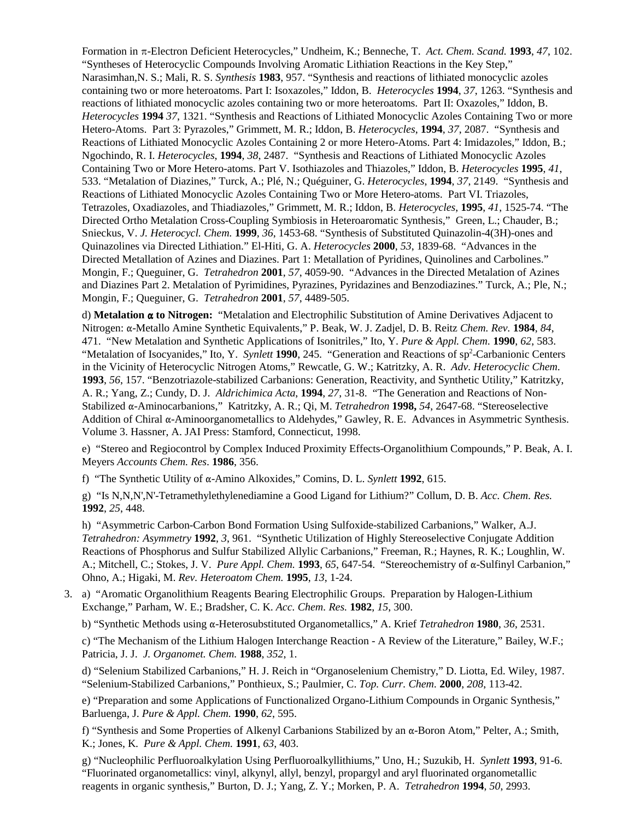Formation in B-Electron Deficient Heterocycles," Undheim, K.; Benneche, T. *Act. Chem. Scand.* **1993**, *47*, 102. "Syntheses of Heterocyclic Compounds Involving Aromatic Lithiation Reactions in the Key Step," Narasimhan,N. S.; Mali, R. S. *Synthesis* **1983**, 957. "Synthesis and reactions of lithiated monocyclic azoles containing two or more heteroatoms. Part I: Isoxazoles," Iddon, B. *Heterocycles* **1994**, *37*, 1263. "Synthesis and reactions of lithiated monocyclic azoles containing two or more heteroatoms. Part II: Oxazoles," Iddon, B. *Heterocycles* **1994** *37*, 1321. "Synthesis and Reactions of Lithiated Monocyclic Azoles Containing Two or more Hetero-Atoms. Part 3: Pyrazoles," Grimmett, M. R.; Iddon, B. *Heterocycles*, **1994**, *37*, 2087. "Synthesis and Reactions of Lithiated Monocyclic Azoles Containing 2 or more Hetero-Atoms. Part 4: Imidazoles," Iddon, B.; Ngochindo, R. I. *Heterocycles*, **1994**, *38*, 2487. "Synthesis and Reactions of Lithiated Monocyclic Azoles Containing Two or More Hetero-atoms. Part V. Isothiazoles and Thiazoles," Iddon, B. *Heterocycles* **1995**, *41*, 533. "Metalation of Diazines," Turck, A.; Plé, N.; Quéguiner, G. *Heterocycles*, **1994**, *37*, 2149. "Synthesis and Reactions of Lithiated Monocyclic Azoles Containing Two or More Hetero-atoms. Part VI. Triazoles, Tetrazoles, Oxadiazoles, and Thiadiazoles," Grimmett, M. R.; Iddon, B. *Heterocycles*, **1995**, *41*, 1525-74. "The Directed Ortho Metalation Cross-Coupling Symbiosis in Heteroaromatic Synthesis," Green, L.; Chauder, B.; Snieckus, V. *J. Heterocycl. Chem.* **1999**, *36*, 1453-68. "Synthesis of Substituted Quinazolin-4(3H)-ones and Quinazolines via Directed Lithiation." El-Hiti, G. A. *Heterocycles* **2000**, *53*, 1839-68. "Advances in the Directed Metallation of Azines and Diazines. Part 1: Metallation of Pyridines, Quinolines and Carbolines." Mongin, F.; Queguiner, G. *Tetrahedron* **2001**, *57*, 4059-90. "Advances in the Directed Metalation of Azines and Diazines Part 2. Metalation of Pyrimidines, Pyrazines, Pyridazines and Benzodiazines." Turck, A.; Ple, N.; Mongin, F.; Queguiner, G. *Tetrahedron* **2001**, *57*, 4489-505.

d) **Metalation**  $\alpha$  **to Nitrogen:** "Metalation and Electrophilic Substitution of Amine Derivatives Adjacent to Nitrogen: "-Metallo Amine Synthetic Equivalents," P. Beak, W. J. Zadjel, D. B. Reitz *Chem. Rev.* **1984**, *84*, 471. "New Metalation and Synthetic Applications of Isonitriles," Ito, Y. *Pure & Appl. Chem.* **1990**, *62*, 583. "Metalation of Isocyanides," Ito, Y. *Synlett* 1990, 245. "Generation and Reactions of sp<sup>2</sup>-Carbanionic Centers in the Vicinity of Heterocyclic Nitrogen Atoms," Rewcatle, G. W.; Katritzky, A. R. *Adv. Heterocyclic Chem.* **1993**, *56*, 157. "Benzotriazole-stabilized Carbanions: Generation, Reactivity, and Synthetic Utility," Katritzky, A. R.; Yang, Z.; Cundy, D. J. *Aldrichimica Acta*, **1994**, *27*, 31-8. "The Generation and Reactions of Non-Stabilized "-Aminocarbanions," Katritzky, A. R.; Qi, M. *Tetrahedron* **1998,** *54*, 2647-68. "Stereoselective Addition of Chiral  $\alpha$ -Aminoorganometallics to Aldehydes," Gawley, R. E. Advances in Asymmetric Synthesis. Volume 3. Hassner, A. JAI Press: Stamford, Connecticut, 1998.

e) "Stereo and Regiocontrol by Complex Induced Proximity Effects-Organolithium Compounds," P. Beak, A. I. Meyers *Accounts Chem. Res*. **1986**, 356.

f) "The Synthetic Utility of  $\alpha$ -Amino Alkoxides," Comins, D. L. *Synlett* **1992**, 615.

g) "Is N,N,N',N'-Tetramethylethylenediamine a Good Ligand for Lithium?" Collum, D. B. *Acc. Chem. Res.* **1992**, *25*, 448.

h) "Asymmetric Carbon-Carbon Bond Formation Using Sulfoxide-stabilized Carbanions," Walker, A.J. *Tetrahedron: Asymmetry* **1992**, *3*, 961. "Synthetic Utilization of Highly Stereoselective Conjugate Addition Reactions of Phosphorus and Sulfur Stabilized Allylic Carbanions," Freeman, R.; Haynes, R. K.; Loughlin, W. A.; Mitchell, C.; Stokes, J. V. *Pure Appl. Chem.* **1993**, 65, 647-54. "Stereochemistry of  $\alpha$ -Sulfinyl Carbanion," Ohno, A.; Higaki, M. *Rev. Heteroatom Chem.* **1995**, *13*, 1-24.

3. a) "Aromatic Organolithium Reagents Bearing Electrophilic Groups. Preparation by Halogen-Lithium Exchange," Parham, W. E.; Bradsher, C. K. *Acc. Chem. Res.* **1982**, *15*, 300.

b) "Synthetic Methods using α-Heterosubstituted Organometallics," A. Krief *Tetrahedron* 1980, 36, 2531.

c) "The Mechanism of the Lithium Halogen Interchange Reaction - A Review of the Literature," Bailey, W.F.; Patricia, J. J. *J. Organomet. Chem.* **1988**, *352*, 1.

d) "Selenium Stabilized Carbanions," H. J. Reich in "Organoselenium Chemistry," D. Liotta, Ed. Wiley, 1987. "Selenium-Stabilized Carbanions," Ponthieux, S.; Paulmier, C. *Top. Curr. Chem.* **2000**, *208*, 113-42.

e) "Preparation and some Applications of Functionalized Organo-Lithium Compounds in Organic Synthesis," Barluenga, J. *Pure & Appl. Chem.* **1990**, *62*, 595.

f) "Synthesis and Some Properties of Alkenyl Carbanions Stabilized by an  $\alpha$ -Boron Atom," Pelter, A.; Smith, K.; Jones, K. *Pure & Appl. Chem.* **1991**, *63*, 403.

g) "Nucleophilic Perfluoroalkylation Using Perfluoroalkyllithiums," Uno, H.; Suzukib, H. *Synlett* **1993**, 91-6. "Fluorinated organometallics: vinyl, alkynyl, allyl, benzyl, propargyl and aryl fluorinated organometallic reagents in organic synthesis," Burton, D. J.; Yang, Z. Y.; Morken, P. A. *Tetrahedron* **1994**, *50*, 2993.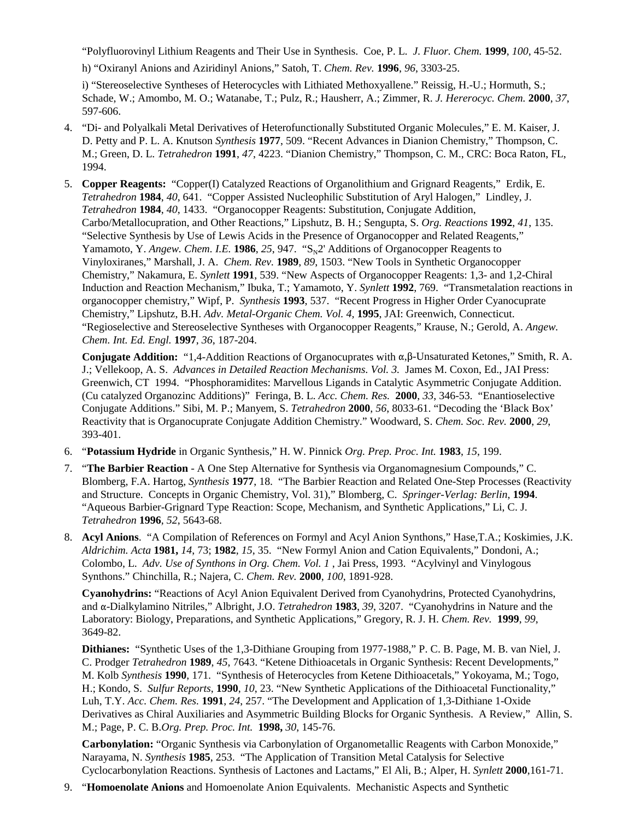"Polyfluorovinyl Lithium Reagents and Their Use in Synthesis. Coe, P. L. *J. Fluor. Chem.* **1999**, *100*, 45-52.

h) "Oxiranyl Anions and Aziridinyl Anions," Satoh, T. *Chem. Rev.* **1996**, *96*, 3303-25.

i) "Stereoselective Syntheses of Heterocycles with Lithiated Methoxyallene." Reissig, H.-U.; Hormuth, S.; Schade, W.; Amombo, M. O.; Watanabe, T.; Pulz, R.; Hausherr, A.; Zimmer, R. *J. Hererocyc. Chem.* **2000**, *37*, 597-606.

- 4. "Di- and Polyalkali Metal Derivatives of Heterofunctionally Substituted Organic Molecules," E. M. Kaiser, J. D. Petty and P. L. A. Knutson *Synthesis* **1977**, 509. "Recent Advances in Dianion Chemistry," Thompson, C. M.; Green, D. L. *Tetrahedron* **1991**, *47*, 4223. "Dianion Chemistry," Thompson, C. M., CRC: Boca Raton, FL, 1994.
- 5. **Copper Reagents:** "Copper(I) Catalyzed Reactions of Organolithium and Grignard Reagents," Erdik, E. *Tetrahedron* **1984**, *40*, 641. "Copper Assisted Nucleophilic Substitution of Aryl Halogen," Lindley, J. *Tetrahedron* **1984**, *40*, 1433. "Organocopper Reagents: Substitution, Conjugate Addition, Carbo/Metallocupration, and Other Reactions," Lipshutz, B. H.; Sengupta, S. *Org. Reactions* **1992**, *41*, 135. "Selective Synthesis by Use of Lewis Acids in the Presence of Organocopper and Related Reagents," Yamamoto, Y. *Angew. Chem. I.E.* **1986**, 25, 947. "S<sub>N</sub><sup>2</sup>' Additions of Organocopper Reagents to Vinyloxiranes," Marshall, J. A. *Chem. Rev.* **1989**, *89*, 1503. "New Tools in Synthetic Organocopper Chemistry," Nakamura, E. *Synlett* **1991**, 539. "New Aspects of Organocopper Reagents: 1,3- and 1,2-Chiral Induction and Reaction Mechanism," Ibuka, T.; Yamamoto, Y. *Synlett* **1992**, 769. "Transmetalation reactions in organocopper chemistry," Wipf, P. *Synthesis* **1993**, 537. "Recent Progress in Higher Order Cyanocuprate Chemistry," Lipshutz, B.H. *Adv. Metal-Organic Chem. Vol. 4,* **1995**, JAI: Greenwich, Connecticut. "Regioselective and Stereoselective Syntheses with Organocopper Reagents," Krause, N.; Gerold, A. *Angew. Chem. Int. Ed. Engl.* **1997**, *36*, 187-204.

**Conjugate Addition:** "1,4-Addition Reactions of Organocuprates with  $\alpha, \beta$ -Unsaturated Ketones," Smith, R. A. J.; Vellekoop, A. S. *Advances in Detailed Reaction Mechanisms. Vol. 3.* James M. Coxon, Ed., JAI Press: Greenwich, CT 1994. "Phosphoramidites: Marvellous Ligands in Catalytic Asymmetric Conjugate Addition. (Cu catalyzed Organozinc Additions)" Feringa, B. L. *Acc. Chem. Res.* **2000**, *33*, 346-53. "Enantioselective Conjugate Additions." Sibi, M. P.; Manyem, S. *Tetrahedron* **2000**, *56*, 8033-61. "Decoding the 'Black Box' Reactivity that is Organocuprate Conjugate Addition Chemistry." Woodward, S. *Chem. Soc. Rev.* **2000**, *29*, 393-401.

- 6. "**Potassium Hydride** in Organic Synthesis," H. W. Pinnick *Org. Prep. Proc. Int.* **1983**, *15*, 199.
- 7. "**The Barbier Reaction** A One Step Alternative for Synthesis via Organomagnesium Compounds," C. Blomberg, F.A. Hartog, *Synthesis* **1977**, 18. "The Barbier Reaction and Related One-Step Processes (Reactivity and Structure. Concepts in Organic Chemistry, Vol. 31)," Blomberg, C. *Springer-Verlag: Berlin*, **1994**. "Aqueous Barbier-Grignard Type Reaction: Scope, Mechanism, and Synthetic Applications," Li, C. J. *Tetrahedron* **1996**, *52*, 5643-68.
- 8. **Acyl Anions**. "A Compilation of References on Formyl and Acyl Anion Synthons," Hase,T.A.; Koskimies, J.K. *Aldrichim. Acta* **1981,** *14*, 73; **1982**, *15*, 35. "New Formyl Anion and Cation Equivalents," Dondoni, A.; Colombo, L. *Adv. Use of Synthons in Org. Chem. Vol. 1* , Jai Press, 1993. "Acylvinyl and Vinylogous Synthons." Chinchilla, R.; Najera, C. *Chem. Rev.* **2000**, *100*, 1891-928.

**Cyanohydrins:** "Reactions of Acyl Anion Equivalent Derived from Cyanohydrins, Protected Cyanohydrins, and  $\alpha$ -Dialkylamino Nitriles," Albright, J.O. *Tetrahedron* **1983**, 39, 3207. "Cyanohydrins in Nature and the Laboratory: Biology, Preparations, and Synthetic Applications," Gregory, R. J. H. *Chem. Rev.* **1999**, *99*, 3649-82.

**Dithianes:** "Synthetic Uses of the 1,3-Dithiane Grouping from 1977-1988," P. C. B. Page, M. B. van Niel, J. C. Prodger *Tetrahedron* **1989**, *45*, 7643. "Ketene Dithioacetals in Organic Synthesis: Recent Developments," M. Kolb *Synthesis* **1990**, 171. "Synthesis of Heterocycles from Ketene Dithioacetals," Yokoyama, M.; Togo, H.; Kondo, S. *Sulfur Reports*, **1990**, *10*, 23. "New Synthetic Applications of the Dithioacetal Functionality," Luh, T.Y. *Acc. Chem. Res.* **1991**, *24*, 257. "The Development and Application of 1,3-Dithiane 1-Oxide Derivatives as Chiral Auxiliaries and Asymmetric Building Blocks for Organic Synthesis. A Review," Allin, S. M.; Page, P. C. B.*Org. Prep. Proc. Int.* **1998,** *30*, 145-76.

**Carbonylation:** "Organic Synthesis via Carbonylation of Organometallic Reagents with Carbon Monoxide," Narayama, N. *Synthesis* **1985**, 253. "The Application of Transition Metal Catalysis for Selective Cyclocarbonylation Reactions. Synthesis of Lactones and Lactams," El Ali, B.; Alper, H. *Synlett* **2000**,161-71.

9. "**Homoenolate Anions** and Homoenolate Anion Equivalents. Mechanistic Aspects and Synthetic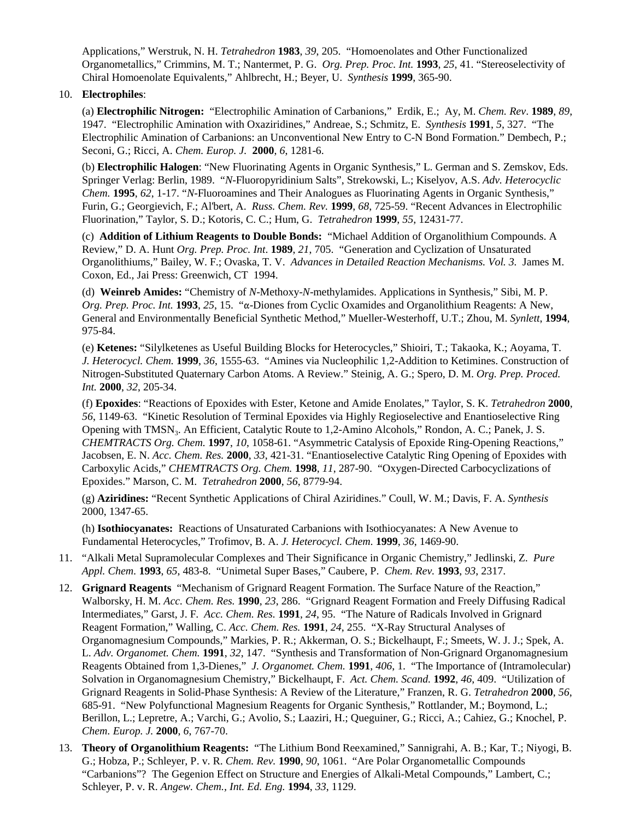Applications," Werstruk, N. H. *Tetrahedron* **1983**, *39*, 205. "Homoenolates and Other Functionalized Organometallics," Crimmins, M. T.; Nantermet, P. G. *Org. Prep. Proc. Int.* **1993**, *25*, 41. "Stereoselectivity of Chiral Homoenolate Equivalents," Ahlbrecht, H.; Beyer, U. *Synthesis* **1999**, 365-90.

# 10. **Electrophiles**:

(a) **Electrophilic Nitrogen:** "Electrophilic Amination of Carbanions," Erdik, E.; Ay, M. *Chem. Rev*. **1989**, *89*, 1947. "Electrophilic Amination with Oxaziridines," Andreae, S.; Schmitz, E. *Synthesis* **1991**, *5*, 327. "The Electrophilic Amination of Carbanions: an Unconventional New Entry to C-N Bond Formation." Dembech, P.; Seconi, G.; Ricci, A. *Chem. Europ. J.* **2000**, *6*, 1281-6.

(b) **Electrophilic Halogen**: "New Fluorinating Agents in Organic Synthesis," L. German and S. Zemskov, Eds. Springer Verlag: Berlin, 1989. "*N*-Fluoropyridinium Salts", Strekowski, L.; Kiselyov, A.S. *Adv. Heterocyclic Chem.* **1995**, *62*, 1-17. "*N*-Fluoroamines and Their Analogues as Fluorinating Agents in Organic Synthesis," Furin, G.; Georgievich, F.; Al'bert, A. *Russ. Chem. Rev.* **1999**, *68*, 725-59. "Recent Advances in Electrophilic Fluorination," Taylor, S. D.; Kotoris, C. C.; Hum, G. *Tetrahedron* **1999**, *55*, 12431-77.

(c) **Addition of Lithium Reagents to Double Bonds:** "Michael Addition of Organolithium Compounds. A Review," D. A. Hunt *Org. Prep. Proc. Int*. **1989**, *21*, 705. "Generation and Cyclization of Unsaturated Organolithiums," Bailey, W. F.; Ovaska, T. V. *Advances in Detailed Reaction Mechanisms. Vol. 3.* James M. Coxon, Ed., Jai Press: Greenwich, CT 1994.

(d) **Weinreb Amides:** "Chemistry of *N*-Methoxy-*N*-methylamides. Applications in Synthesis," Sibi, M. P. *Org. Prep. Proc. Int.* **1993**, 25, 15. "α-Diones from Cyclic Oxamides and Organolithium Reagents: A New, General and Environmentally Beneficial Synthetic Method," Mueller-Westerhoff, U.T.; Zhou, M. *Synlett*, **1994**, 975-84.

(e) **Ketenes:** "Silylketenes as Useful Building Blocks for Heterocycles," Shioiri, T.; Takaoka, K.; Aoyama, T. *J. Heterocycl. Chem.* **1999**, *36*, 1555-63. "Amines via Nucleophilic 1,2-Addition to Ketimines. Construction of Nitrogen-Substituted Quaternary Carbon Atoms. A Review." Steinig, A. G.; Spero, D. M. *Org. Prep. Proced. Int.* **2000**, *32*, 205-34.

(f) **Epoxides**: "Reactions of Epoxides with Ester, Ketone and Amide Enolates," Taylor, S. K. *Tetrahedron* **2000**, *56*, 1149-63. "Kinetic Resolution of Terminal Epoxides via Highly Regioselective and Enantioselective Ring Opening with TMSN<sub>3</sub>. An Efficient, Catalytic Route to 1,2-Amino Alcohols," Rondon, A. C.; Panek, J. S. *CHEMTRACTS Org. Chem.* **1997**, *10*, 1058-61. "Asymmetric Catalysis of Epoxide Ring-Opening Reactions," Jacobsen, E. N. *Acc. Chem. Res.* **2000**, *33*, 421-31. "Enantioselective Catalytic Ring Opening of Epoxides with Carboxylic Acids," *CHEMTRACTS Org. Chem.* **1998**, *11*, 287-90. "Oxygen-Directed Carbocyclizations of Epoxides." Marson, C. M. *Tetrahedron* **2000**, *56*, 8779-94.

(g) **Aziridines:** "Recent Synthetic Applications of Chiral Aziridines." Coull, W. M.; Davis, F. A. *Synthesis* 2000, 1347-65.

(h) **Isothiocyanates:** Reactions of Unsaturated Carbanions with Isothiocyanates: A New Avenue to Fundamental Heterocycles," Trofimov, B. A. *J. Heterocycl. Chem.* **1999**, *36*, 1469-90.

- 11. "Alkali Metal Supramolecular Complexes and Their Significance in Organic Chemistry," Jedlinski, Z. *Pure Appl. Chem.* **1993**, *65*, 483-8. "Unimetal Super Bases," Caubere, P. *Chem. Rev.* **1993**, *93*, 2317.
- 12. **Grignard Reagents** "Mechanism of Grignard Reagent Formation. The Surface Nature of the Reaction," Walborsky, H. M. *Acc. Chem. Res.* **1990**, *23*, 286. "Grignard Reagent Formation and Freely Diffusing Radical Intermediates," Garst, J. F. *Acc. Chem. Res.* **1991**, *24*, 95. "The Nature of Radicals Involved in Grignard Reagent Formation," Walling, C. *Acc. Chem. Res.* **1991**, *24*, 255. "X-Ray Structural Analyses of Organomagnesium Compounds," Markies, P. R.; Akkerman, O. S.; Bickelhaupt, F.; Smeets, W. J. J.; Spek, A. L. *Adv. Organomet. Chem.* **1991**, *32*, 147. "Synthesis and Transformation of Non-Grignard Organomagnesium Reagents Obtained from 1,3-Dienes," *J. Organomet. Chem.* **1991**, *406*, 1. "The Importance of (Intramolecular) Solvation in Organomagnesium Chemistry," Bickelhaupt, F. *Act. Chem. Scand.* **1992**, *46*, 409. "Utilization of Grignard Reagents in Solid-Phase Synthesis: A Review of the Literature," Franzen, R. G. *Tetrahedron* **2000**, *56*, 685-91. "New Polyfunctional Magnesium Reagents for Organic Synthesis," Rottlander, M.; Boymond, L.; Berillon, L.; Lepretre, A.; Varchi, G.; Avolio, S.; Laaziri, H.; Queguiner, G.; Ricci, A.; Cahiez, G.; Knochel, P. *Chem. Europ. J.* **2000**, *6*, 767-70.
- 13. **Theory of Organolithium Reagents:** "The Lithium Bond Reexamined," Sannigrahi, A. B.; Kar, T.; Niyogi, B. G.; Hobza, P.; Schleyer, P. v. R. *Chem. Rev.* **1990**, *90*, 1061. "Are Polar Organometallic Compounds "Carbanions"? The Gegenion Effect on Structure and Energies of Alkali-Metal Compounds," Lambert, C.; Schleyer, P. v. R. *Angew. Chem., Int. Ed. Eng.* **1994**, *33*, 1129.